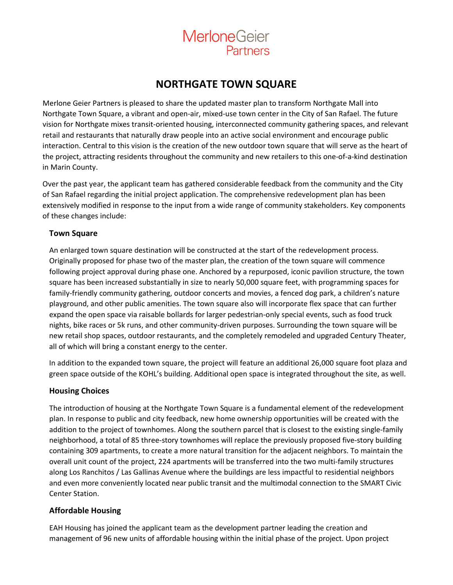

# **NORTHGATE TOWN SQUARE**

Merlone Geier Partners is pleased to share the updated master plan to transform Northgate Mall into Northgate Town Square, a vibrant and open-air, mixed-use town center in the City of San Rafael. The future vision for Northgate mixes transit-oriented housing, interconnected community gathering spaces, and relevant retail and restaurants that naturally draw people into an active social environment and encourage public interaction. Central to this vision is the creation of the new outdoor town square that will serve as the heart of the project, attracting residents throughout the community and new retailers to this one-of-a-kind destination in Marin County.

Over the past year, the applicant team has gathered considerable feedback from the community and the City of San Rafael regarding the initial project application. The comprehensive redevelopment plan has been extensively modified in response to the input from a wide range of community stakeholders. Key components of these changes include:

## **Town Square**

An enlarged town square destination will be constructed at the start of the redevelopment process. Originally proposed for phase two of the master plan, the creation of the town square will commence following project approval during phase one. Anchored by a repurposed, iconic pavilion structure, the town square has been increased substantially in size to nearly 50,000 square feet, with programming spaces for family-friendly community gathering, outdoor concerts and movies, a fenced dog park, a children's nature playground, and other public amenities. The town square also will incorporate flex space that can further expand the open space via raisable bollards for larger pedestrian-only special events, such as food truck nights, bike races or 5k runs, and other community-driven purposes. Surrounding the town square will be new retail shop spaces, outdoor restaurants, and the completely remodeled and upgraded Century Theater, all of which will bring a constant energy to the center.

In addition to the expanded town square, the project will feature an additional 26,000 square foot plaza and green space outside of the KOHL's building. Additional open space is integrated throughout the site, as well.

## **Housing Choices**

The introduction of housing at the Northgate Town Square is a fundamental element of the redevelopment plan. In response to public and city feedback, new home ownership opportunities will be created with the addition to the project of townhomes. Along the southern parcel that is closest to the existing single-family neighborhood, a total of 85 three-story townhomes will replace the previously proposed five-story building containing 309 apartments, to create a more natural transition for the adjacent neighbors. To maintain the overall unit count of the project, 224 apartments will be transferred into the two multi-family structures along Los Ranchitos / Las Gallinas Avenue where the buildings are less impactful to residential neighbors and even more conveniently located near public transit and the multimodal connection to the SMART Civic Center Station.

## **Affordable Housing**

EAH Housing has joined the applicant team as the development partner leading the creation and management of 96 new units of affordable housing within the initial phase of the project. Upon project